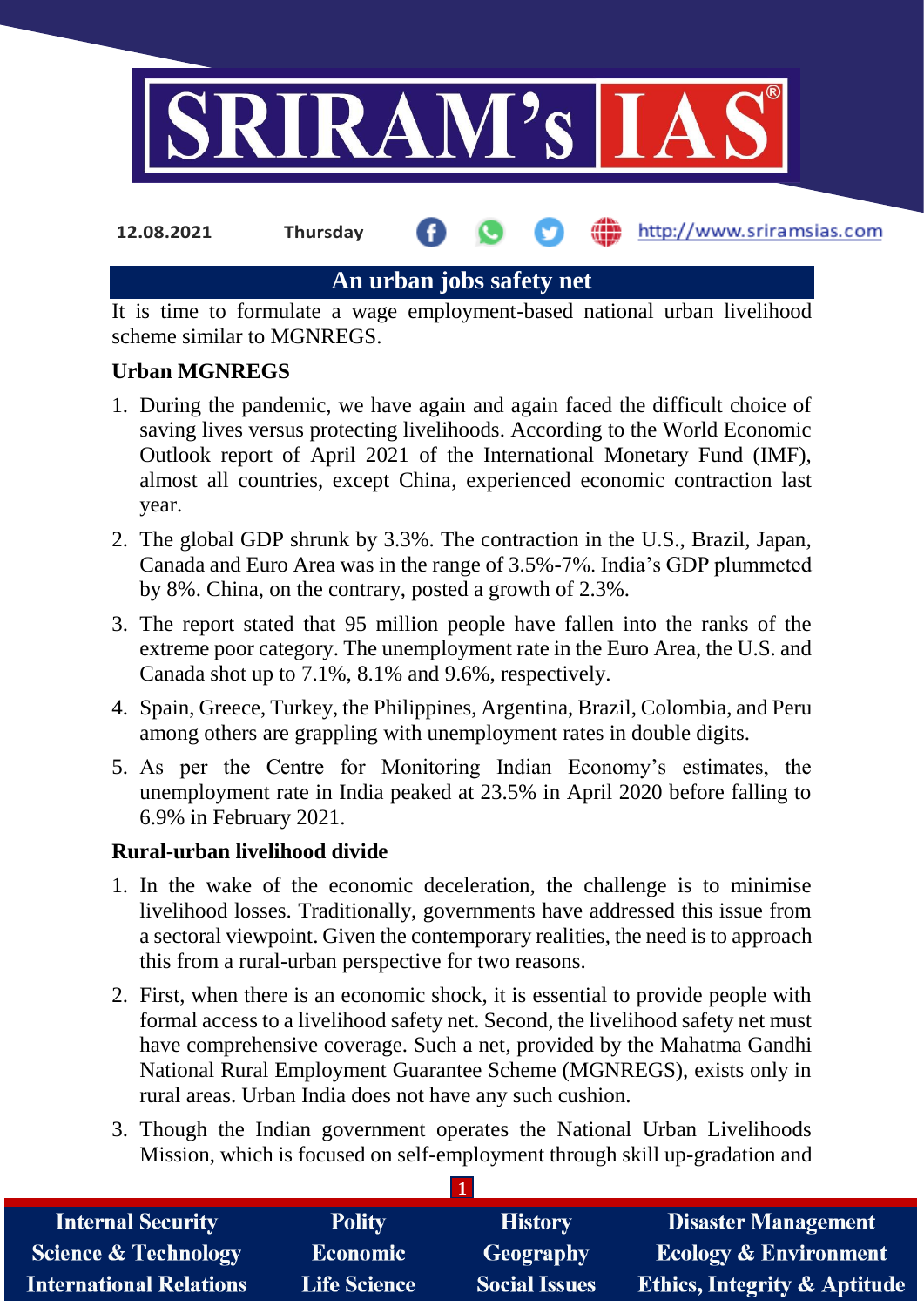

**12.08.2021 Thursday**

http://www.sriramsias.com

# **An urban jobs safety net**

It is time to formulate a wage employment-based national urban livelihood scheme similar to MGNREGS.

# **Urban MGNREGS**

- 1. During the pandemic, we have again and again faced the difficult choice of saving lives versus protecting livelihoods. According to the World Economic Outlook report of April 2021 of the International Monetary Fund (IMF), almost all countries, except China, experienced economic contraction last year.
- 2. The global GDP shrunk by 3.3%. The contraction in the U.S., Brazil, Japan, Canada and Euro Area was in the range of 3.5%-7%. India's GDP plummeted by 8%. China, on the contrary, posted a growth of 2.3%.
- 3. The report stated that 95 million people have fallen into the ranks of the extreme poor category. The unemployment rate in the Euro Area, the U.S. and Canada shot up to 7.1%, 8.1% and 9.6%, respectively.
- 4. Spain, Greece, Turkey, the Philippines, Argentina, Brazil, Colombia, and Peru among others are grappling with unemployment rates in double digits.
- 5. As per the Centre for Monitoring Indian Economy's estimates, the unemployment rate in India peaked at 23.5% in April 2020 before falling to 6.9% in February 2021.

# **Rural-urban livelihood divide**

- 1. In the wake of the economic deceleration, the challenge is to minimise livelihood losses. Traditionally, governments have addressed this issue from a sectoral viewpoint. Given the contemporary realities, the need is to approach this from a rural-urban perspective for two reasons.
- 2. First, when there is an economic shock, it is essential to provide people with formal access to a livelihood safety net. Second, the livelihood safety net must have comprehensive coverage. Such a net, provided by the Mahatma Gandhi National Rural Employment Guarantee Scheme (MGNREGS), exists only in rural areas. Urban India does not have any such cushion.
- 3. Though the Indian government operates the National Urban Livelihoods Mission, which is focused on self-employment through skill up-gradation and

**1**

| <b>Internal Security</b>        | <b>Polity</b>       | <b>History</b>       | <b>Disaster Management</b>              |
|---------------------------------|---------------------|----------------------|-----------------------------------------|
| <b>Science &amp; Technology</b> | <b>Economic</b>     | Geography            | <b>Ecology &amp; Environment</b>        |
| <b>International Relations</b>  | <b>Life Science</b> | <b>Social Issues</b> | <b>Ethics, Integrity &amp; Aptitude</b> |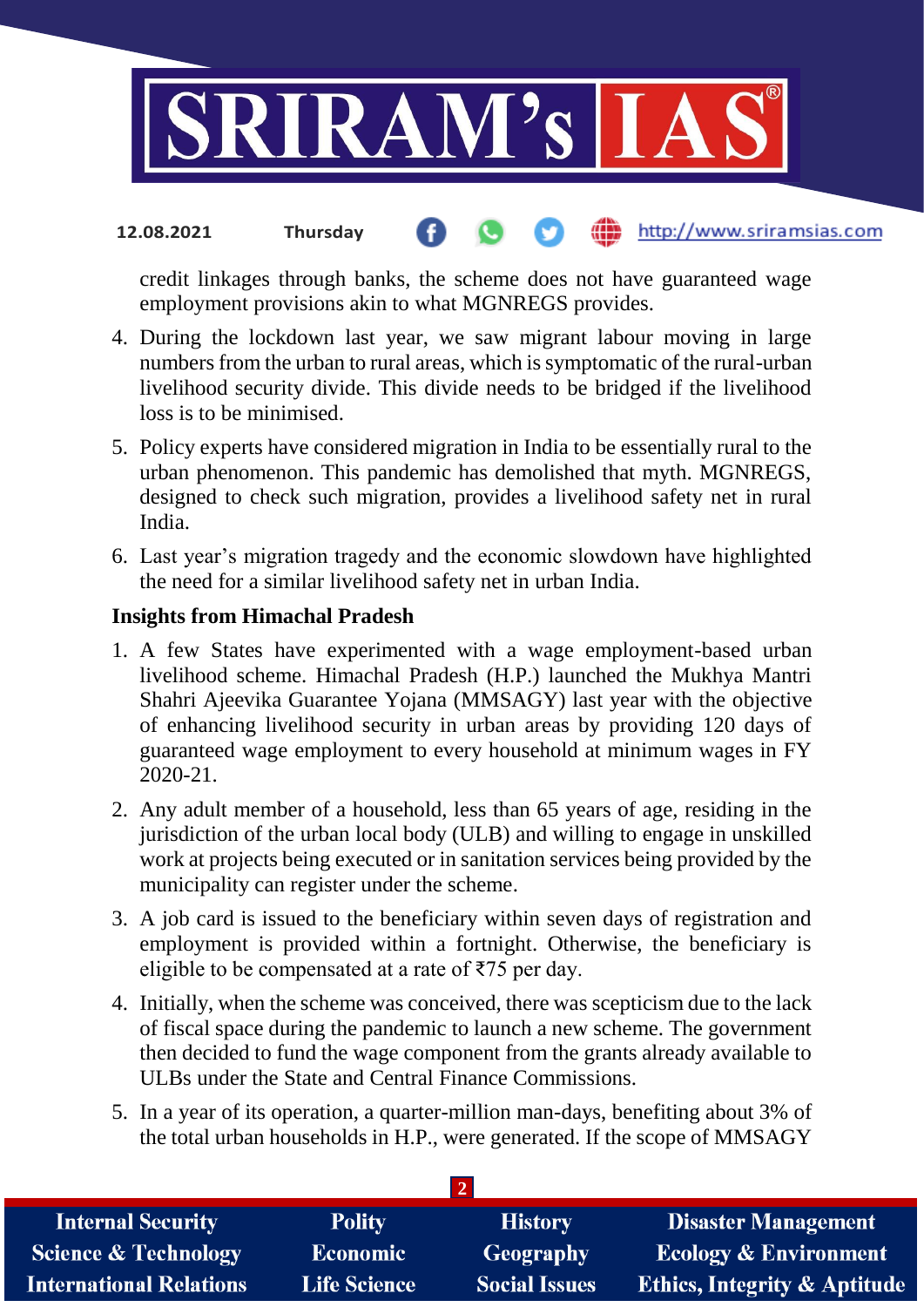

#### http://www.sriramsias.com **12.08.2021 Thursday**

credit linkages through banks, the scheme does not have guaranteed wage employment provisions akin to what MGNREGS provides.

- 4. During the lockdown last year, we saw migrant labour moving in large numbers from the urban to rural areas, which is symptomatic of the rural-urban livelihood security divide. This divide needs to be bridged if the livelihood loss is to be minimised.
- 5. Policy experts have considered migration in India to be essentially rural to the urban phenomenon. This pandemic has demolished that myth. MGNREGS, designed to check such migration, provides a livelihood safety net in rural India.
- 6. Last year's migration tragedy and the economic slowdown have highlighted the need for a similar livelihood safety net in urban India.

### **Insights from Himachal Pradesh**

- 1. A few States have experimented with a wage employment-based urban livelihood scheme. Himachal Pradesh (H.P.) launched the Mukhya Mantri Shahri Ajeevika Guarantee Yojana (MMSAGY) last year with the objective of enhancing livelihood security in urban areas by providing 120 days of guaranteed wage employment to every household at minimum wages in FY 2020-21.
- 2. Any adult member of a household, less than 65 years of age, residing in the jurisdiction of the urban local body (ULB) and willing to engage in unskilled work at projects being executed or in sanitation services being provided by the municipality can register under the scheme.
- 3. A job card is issued to the beneficiary within seven days of registration and employment is provided within a fortnight. Otherwise, the beneficiary is eligible to be compensated at a rate of  $\overline{575}$  per day.
- 4. Initially, when the scheme was conceived, there was scepticism due to the lack of fiscal space during the pandemic to launch a new scheme. The government then decided to fund the wage component from the grants already available to ULBs under the State and Central Finance Commissions.
- 5. In a year of its operation, a quarter-million man-days, benefiting about 3% of the total urban households in H.P., were generated. If the scope of MMSAGY

| <b>Internal Security</b>        | <b>Polity</b>       | <b>History</b>       | <b>Disaster Management</b>              |  |  |  |
|---------------------------------|---------------------|----------------------|-----------------------------------------|--|--|--|
| <b>Science &amp; Technology</b> | <b>Economic</b>     | Geography            | <b>Ecology &amp; Environment</b>        |  |  |  |
| <b>International Relations</b>  | <b>Life Science</b> | <b>Social Issues</b> | <b>Ethics, Integrity &amp; Aptitude</b> |  |  |  |